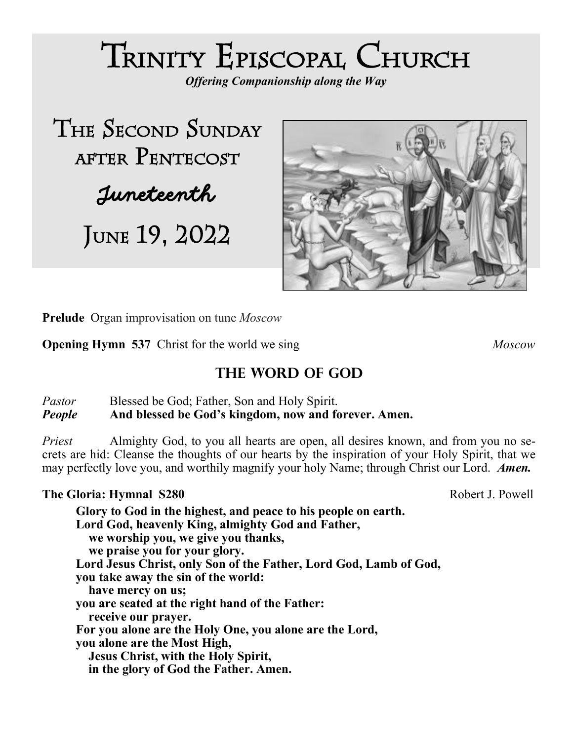# TRINITY EPISCOPAL CHURCH

*Offering Companionship along the Way*

THE SECOND SUNDAY after Pentecost

*Juneteenth* 

June 19, 2022



**Prelude** Organ improvisation on tune *Moscow*

**Opening Hymn 537** Christ for the world we sing *Moscow*

## **The Word of God**

*Pastor* Blessed be God; Father, Son and Holy Spirit.

*People* **And blessed be God's kingdom, now and forever. Amen.**

*Priest* Almighty God, to you all hearts are open, all desires known, and from you no secrets are hid: Cleanse the thoughts of our hearts by the inspiration of your Holy Spirit, that we may perfectly love you, and worthily magnify your holy Name; through Christ our Lord. *Amen.*

#### **The Gloria: Hymnal S280** Robert J. Powell

**Glory to God in the highest, and peace to his people on earth. Lord God, heavenly King, almighty God and Father, we worship you, we give you thanks, we praise you for your glory. Lord Jesus Christ, only Son of the Father, Lord God, Lamb of God, you take away the sin of the world: have mercy on us; you are seated at the right hand of the Father: receive our prayer. For you alone are the Holy One, you alone are the Lord, you alone are the Most High, Jesus Christ, with the Holy Spirit, in the glory of God the Father. Amen.**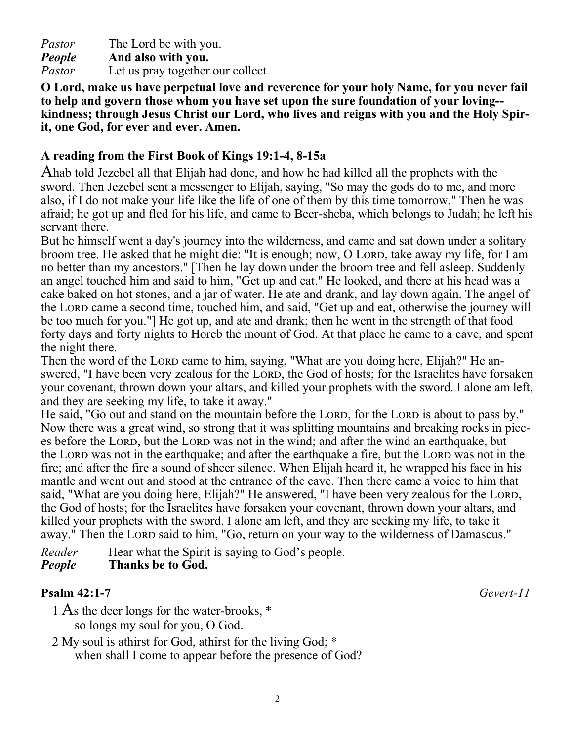*Pastor* The Lord be with you. *People* **And also with you.** *Pastor* Let us pray together our collect.

**O Lord, make us have perpetual love and reverence for your holy Name, for you never fail to help and govern those whom you have set upon the sure foundation of your loving kindness; through Jesus Christ our Lord, who lives and reigns with you and the Holy Spirit, one God, for ever and ever. Amen.**

#### **A reading from the First Book of Kings 19:1-4, 8-15a**

Ahab told Jezebel all that Elijah had done, and how he had killed all the prophets with the sword. Then Jezebel sent a messenger to Elijah, saying, "So may the gods do to me, and more also, if I do not make your life like the life of one of them by this time tomorrow." Then he was afraid; he got up and fled for his life, and came to Beer-sheba, which belongs to Judah; he left his servant there.

But he himself went a day's journey into the wilderness, and came and sat down under a solitary broom tree. He asked that he might die: "It is enough; now, O Lord, take away my life, for I am no better than my ancestors." [Then he lay down under the broom tree and fell asleep. Suddenly an angel touched him and said to him, "Get up and eat." He looked, and there at his head was a cake baked on hot stones, and a jar of water. He ate and drank, and lay down again. The angel of the Lord came a second time, touched him, and said, "Get up and eat, otherwise the journey will be too much for you."] He got up, and ate and drank; then he went in the strength of that food forty days and forty nights to Horeb the mount of God. At that place he came to a cave, and spent the night there.

Then the word of the LORD came to him, saying, "What are you doing here, Elijah?" He answered, "I have been very zealous for the LORD, the God of hosts; for the Israelites have forsaken your covenant, thrown down your altars, and killed your prophets with the sword. I alone am left, and they are seeking my life, to take it away."

He said, "Go out and stand on the mountain before the LORD, for the LORD is about to pass by." Now there was a great wind, so strong that it was splitting mountains and breaking rocks in pieces before the LORD, but the LORD was not in the wind; and after the wind an earthquake, but the Lord was not in the earthquake; and after the earthquake a fire, but the Lord was not in the fire; and after the fire a sound of sheer silence. When Elijah heard it, he wrapped his face in his mantle and went out and stood at the entrance of the cave. Then there came a voice to him that said, "What are you doing here, Elijah?" He answered, "I have been very zealous for the LORD, the God of hosts; for the Israelites have forsaken your covenant, thrown down your altars, and killed your prophets with the sword. I alone am left, and they are seeking my life, to take it away." Then the Lora said to him, "Go, return on your way to the wilderness of Damascus."

*Reader* Hear what the Spirit is saying to God's people. *People* **Thanks be to God.**

#### **Psalm 42:1-7** *Gevert-11*

- 1 As the deer longs for the water-brooks, \* so longs my soul for you, O God.
- 2 My soul is athirst for God, athirst for the living God; \* when shall I come to appear before the presence of God?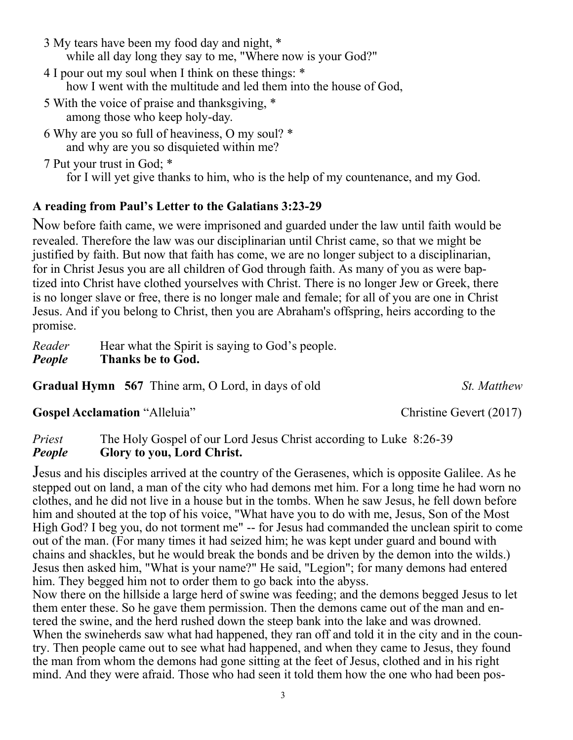| 3 My tears have been my food day and night, *<br>while all day long they say to me, "Where now is your God?"              |
|---------------------------------------------------------------------------------------------------------------------------|
| 4 I pour out my soul when I think on these things: *<br>how I went with the multitude and led them into the house of God, |
| 5 With the voice of praise and thanksgiving, *<br>among those who keep holy-day.                                          |
| 6 Why are you so full of heaviness, O my soul? *<br>and why are you so disquieted within me?                              |
| 7 Put your trust in God; *<br>for I will yet give thanks to him, who is the help of my countenance, and my God.           |

#### **A reading from Paul's Letter to the Galatians 3:23-29**

Now before faith came, we were imprisoned and guarded under the law until faith would be revealed. Therefore the law was our disciplinarian until Christ came, so that we might be justified by faith. But now that faith has come, we are no longer subject to a disciplinarian, for in Christ Jesus you are all children of God through faith. As many of you as were baptized into Christ have clothed yourselves with Christ. There is no longer Jew or Greek, there is no longer slave or free, there is no longer male and female; for all of you are one in Christ Jesus. And if you belong to Christ, then you are Abraham's offspring, heirs according to the promise.

*Reader* Hear what the Spirit is saying to God's people. *People* **Thanks be to God.**

**Gradual Hymn 567** Thine arm, O Lord, in days of old *St. Matthew*

**Gospel Acclamation "Alleluia"** Christine Gevert (2017)

#### *Priest* The Holy Gospel of our Lord Jesus Christ according to Luke 8:26-39 *People* **Glory to you, Lord Christ.**

Jesus and his disciples arrived at the country of the Gerasenes, which is opposite Galilee. As he stepped out on land, a man of the city who had demons met him. For a long time he had worn no clothes, and he did not live in a house but in the tombs. When he saw Jesus, he fell down before him and shouted at the top of his voice, "What have you to do with me, Jesus, Son of the Most High God? I beg you, do not torment me" -- for Jesus had commanded the unclean spirit to come out of the man. (For many times it had seized him; he was kept under guard and bound with chains and shackles, but he would break the bonds and be driven by the demon into the wilds.) Jesus then asked him, "What is your name?" He said, "Legion"; for many demons had entered him. They begged him not to order them to go back into the abyss.

Now there on the hillside a large herd of swine was feeding; and the demons begged Jesus to let them enter these. So he gave them permission. Then the demons came out of the man and entered the swine, and the herd rushed down the steep bank into the lake and was drowned. When the swineherds saw what had happened, they ran off and told it in the city and in the country. Then people came out to see what had happened, and when they came to Jesus, they found the man from whom the demons had gone sitting at the feet of Jesus, clothed and in his right mind. And they were afraid. Those who had seen it told them how the one who had been pos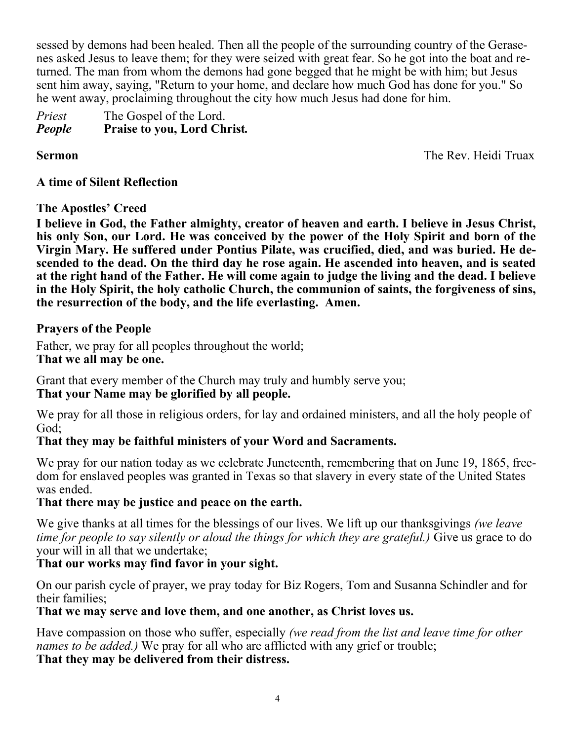sessed by demons had been healed. Then all the people of the surrounding country of the Gerasenes asked Jesus to leave them; for they were seized with great fear. So he got into the boat and returned. The man from whom the demons had gone begged that he might be with him; but Jesus sent him away, saying, "Return to your home, and declare how much God has done for you." So he went away, proclaiming throughout the city how much Jesus had done for him.

*Priest* The Gospel of the Lord. *People* **Praise to you, Lord Christ***.*

**Sermon** The Rev. Heidi Truax

#### **A time of Silent Reflection**

#### **The Apostles' Creed**

**I believe in God, the Father almighty, creator of heaven and earth. I believe in Jesus Christ, his only Son, our Lord. He was conceived by the power of the Holy Spirit and born of the Virgin Mary. He suffered under Pontius Pilate, was crucified, died, and was buried. He descended to the dead. On the third day he rose again. He ascended into heaven, and is seated at the right hand of the Father. He will come again to judge the living and the dead. I believe in the Holy Spirit, the holy catholic Church, the communion of saints, the forgiveness of sins, the resurrection of the body, and the life everlasting. Amen.**

#### **Prayers of the People**

Father, we pray for all peoples throughout the world; **That we all may be one.**

Grant that every member of the Church may truly and humbly serve you;

#### **That your Name may be glorified by all people.**

We pray for all those in religious orders, for lay and ordained ministers, and all the holy people of God;

#### **That they may be faithful ministers of your Word and Sacraments.**

We pray for our nation today as we celebrate Juneteenth, remembering that on June 19, 1865, freedom for enslaved peoples was granted in Texas so that slavery in every state of the United States was ended.

#### **That there may be justice and peace on the earth.**

We give thanks at all times for the blessings of our lives. We lift up our thanksgivings *(we leave time for people to say silently or aloud the things for which they are grateful.)* Give us grace to do your will in all that we undertake;

#### **That our works may find favor in your sight.**

On our parish cycle of prayer, we pray today for Biz Rogers, Tom and Susanna Schindler and for their families;

**That we may serve and love them, and one another, as Christ loves us.**

Have compassion on those who suffer, especially *(we read from the list and leave time for other names to be added.)* We pray for all who are afflicted with any grief or trouble; **That they may be delivered from their distress.**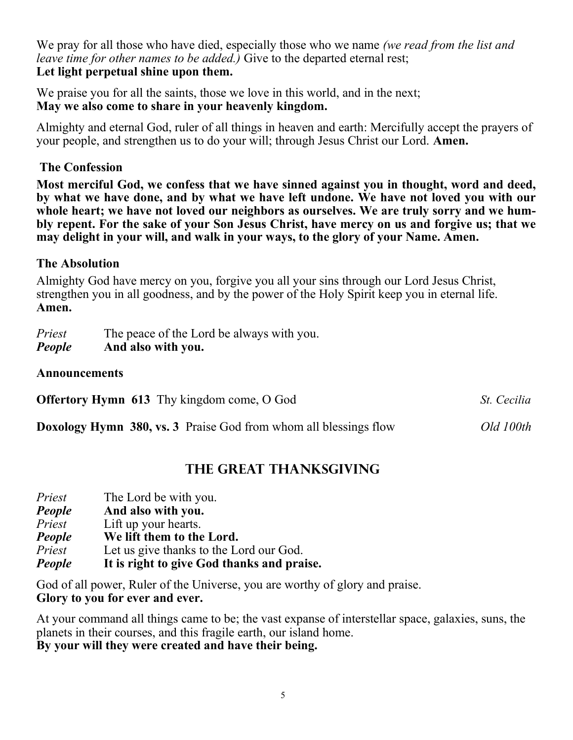We pray for all those who have died, especially those who we name *(we read from the list and leave time for other names to be added.)* Give to the departed eternal rest; **Let light perpetual shine upon them.**

We praise you for all the saints, those we love in this world, and in the next; **May we also come to share in your heavenly kingdom.**

Almighty and eternal God, ruler of all things in heaven and earth: Mercifully accept the prayers of your people, and strengthen us to do your will; through Jesus Christ our Lord. **Amen.**

#### **The Confession**

**Most merciful God, we confess that we have sinned against you in thought, word and deed, by what we have done, and by what we have left undone. We have not loved you with our whole heart; we have not loved our neighbors as ourselves. We are truly sorry and we humbly repent. For the sake of your Son Jesus Christ, have mercy on us and forgive us; that we may delight in your will, and walk in your ways, to the glory of your Name. Amen.**

#### **The Absolution**

Almighty God have mercy on you, forgive you all your sins through our Lord Jesus Christ, strengthen you in all goodness, and by the power of the Holy Spirit keep you in eternal life. **Amen.**

| Priest        | The peace of the Lord be always with you. |
|---------------|-------------------------------------------|
| <b>People</b> | And also with you.                        |

#### **Announcements**

| <b>Offertory Hymn 613</b> Thy kingdom come, O God                       | <i>St.</i> Cecilia |
|-------------------------------------------------------------------------|--------------------|
| <b>Doxology Hymn 380, vs. 3</b> Praise God from whom all blessings flow | Old 100th          |

### **The Great Thanksgiving**

- *Priest* The Lord be with you.
- *People* **And also with you.**
- *Priest* Lift up your hearts.
- *People* **We lift them to the Lord.**
- *Priest* Let us give thanks to the Lord our God.
- *People* **It is right to give God thanks and praise.**

God of all power, Ruler of the Universe, you are worthy of glory and praise. **Glory to you for ever and ever.**

At your command all things came to be; the vast expanse of interstellar space, galaxies, suns, the planets in their courses, and this fragile earth, our island home.

**By your will they were created and have their being.**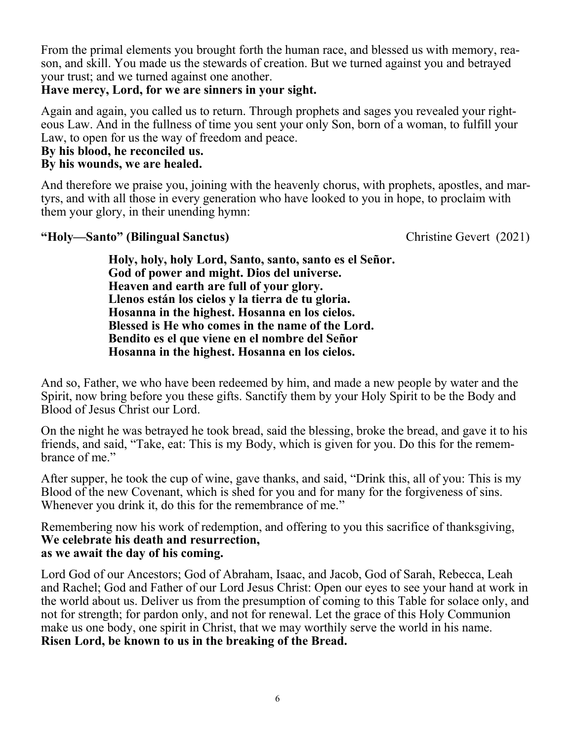From the primal elements you brought forth the human race, and blessed us with memory, reason, and skill. You made us the stewards of creation. But we turned against you and betrayed your trust; and we turned against one another.

#### **Have mercy, Lord, for we are sinners in your sight.**

Again and again, you called us to return. Through prophets and sages you revealed your righteous Law. And in the fullness of time you sent your only Son, born of a woman, to fulfill your Law, to open for us the way of freedom and peace.

# **By his blood, he reconciled us.**

#### **By his wounds, we are healed.**

And therefore we praise you, joining with the heavenly chorus, with prophets, apostles, and martyrs, and with all those in every generation who have looked to you in hope, to proclaim with them your glory, in their unending hymn:

#### **"Holy—Santo" (Bilingual Sanctus)** Christine Gevert (2021)

**Holy, holy, holy Lord, Santo, santo, santo es el Señor. God of power and might. Dios del universe. Heaven and earth are full of your glory. Llenos están los cielos y la tierra de tu gloria. Hosanna in the highest. Hosanna en los cielos. Blessed is He who comes in the name of the Lord. Bendito es el que viene en el nombre del Señor Hosanna in the highest. Hosanna en los cielos.**

And so, Father, we who have been redeemed by him, and made a new people by water and the Spirit, now bring before you these gifts. Sanctify them by your Holy Spirit to be the Body and Blood of Jesus Christ our Lord.

On the night he was betrayed he took bread, said the blessing, broke the bread, and gave it to his friends, and said, "Take, eat: This is my Body, which is given for you. Do this for the remembrance of me."

After supper, he took the cup of wine, gave thanks, and said, "Drink this, all of you: This is my Blood of the new Covenant, which is shed for you and for many for the forgiveness of sins. Whenever you drink it, do this for the remembrance of me."

Remembering now his work of redemption, and offering to you this sacrifice of thanksgiving, **We celebrate his death and resurrection, as we await the day of his coming.**

Lord God of our Ancestors; God of Abraham, Isaac, and Jacob, God of Sarah, Rebecca, Leah and Rachel; God and Father of our Lord Jesus Christ: Open our eyes to see your hand at work in the world about us. Deliver us from the presumption of coming to this Table for solace only, and not for strength; for pardon only, and not for renewal. Let the grace of this Holy Communion make us one body, one spirit in Christ, that we may worthily serve the world in his name. **Risen Lord, be known to us in the breaking of the Bread.**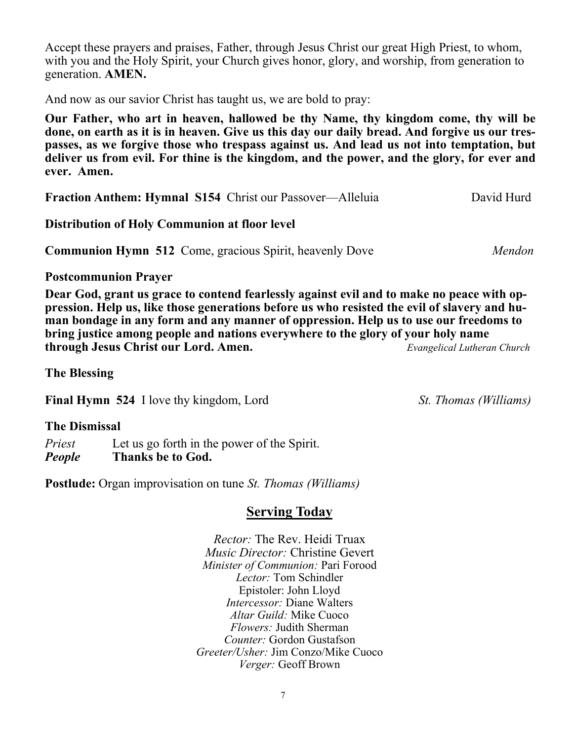Accept these prayers and praises, Father, through Jesus Christ our great High Priest, to whom, with you and the Holy Spirit, your Church gives honor, glory, and worship, from generation to generation. **AMEN.**

And now as our savior Christ has taught us, we are bold to pray:

**Our Father, who art in heaven, hallowed be thy Name, thy kingdom come, thy will be done, on earth as it is in heaven. Give us this day our daily bread. And forgive us our trespasses, as we forgive those who trespass against us. And lead us not into temptation, but deliver us from evil. For thine is the kingdom, and the power, and the glory, for ever and ever. Amen.**

**Fraction Anthem: Hymnal S154** Christ our Passover—Alleluia David Hurd

#### **Distribution of Holy Communion at floor level**

**Communion Hymn 512** Come, gracious Spirit, heavenly Dove *Mendon*

#### **Postcommunion Prayer**

**Dear God, grant us grace to contend fearlessly against evil and to make no peace with oppression. Help us, like those generations before us who resisted the evil of slavery and human bondage in any form and any manner of oppression. Help us to use our freedoms to bring justice among people and nations everywhere to the glory of your holy name through Jesus Christ our Lord. Amen.** *Evangelical Lutheran Church*

**The Blessing** 

**Final Hymn 524** I love thy kingdom, Lord *St. Thomas (Williams)*

#### **The Dismissal**

*Priest* Let us go forth in the power of the Spirit. *People* **Thanks be to God.**

**Postlude:** Organ improvisation on tune *St. Thomas (Williams)*

#### **Serving Today**

*Rector:* The Rev. Heidi Truax *Music Director:* Christine Gevert *Minister of Communion:* Pari Forood *Lector:* Tom Schindler Epistoler: John Lloyd *Intercessor:* Diane Walters *Altar Guild:* Mike Cuoco *Flowers:* Judith Sherman *Counter:* Gordon Gustafson *Greeter/Usher:* Jim Conzo/Mike Cuoco *Verger:* Geoff Brown